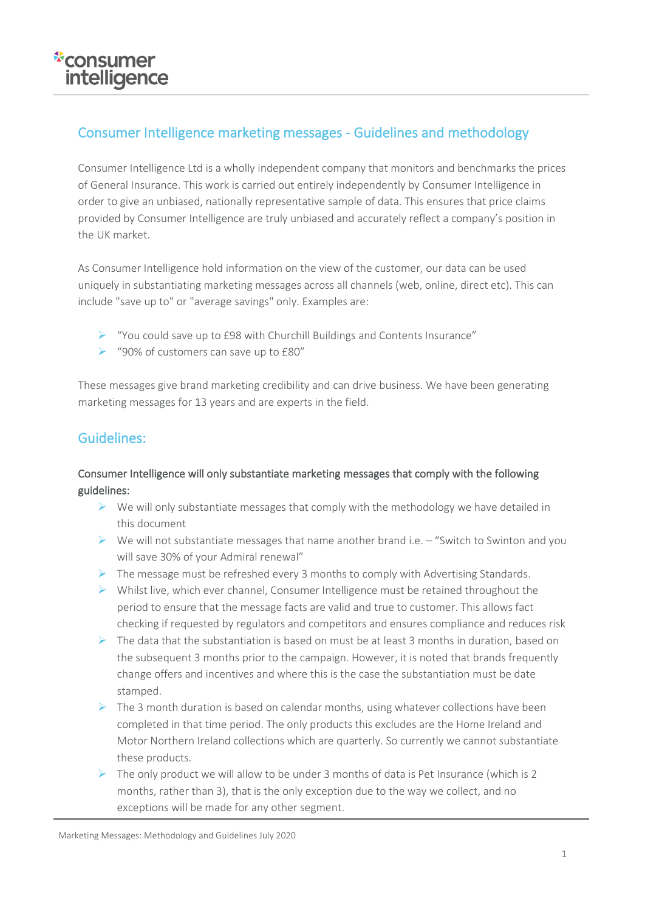## Consumer Intelligence marketing messages - Guidelines and methodology

Consumer Intelligence Ltd is a wholly independent company that monitors and benchmarks the prices of General Insurance. This work is carried out entirely independently by Consumer Intelligence in order to give an unbiased, nationally representative sample of data. This ensures that price claims provided by Consumer Intelligence are truly unbiased and accurately reflect a company's position in the UK market.

As Consumer Intelligence hold information on the view of the customer, our data can be used uniquely in substantiating marketing messages across all channels (web, online, direct etc). This can include "save up to" or "average savings" only. Examples are:

- ➢ "You could save up to £98 with Churchill Buildings and Contents Insurance"
- ➢ "90% of customers can save up to £80"

These messages give brand marketing credibility and can drive business. We have been generating marketing messages for 13 years and are experts in the field.

### Guidelines:

### Consumer Intelligence will only substantiate marketing messages that comply with the following guidelines:

- $\triangleright$  We will only substantiate messages that comply with the methodology we have detailed in this document
- $\triangleright$  We will not substantiate messages that name another brand i.e. "Switch to Swinton and you will save 30% of your Admiral renewal"
- $\triangleright$  The message must be refreshed every 3 months to comply with Advertising Standards.
- $\triangleright$  Whilst live, which ever channel, Consumer Intelligence must be retained throughout the period to ensure that the message facts are valid and true to customer. This allows fact checking if requested by regulators and competitors and ensures compliance and reduces risk
- $\triangleright$  The data that the substantiation is based on must be at least 3 months in duration, based on the subsequent 3 months prior to the campaign. However, it is noted that brands frequently change offers and incentives and where this is the case the substantiation must be date stamped.
- $\triangleright$  The 3 month duration is based on calendar months, using whatever collections have been completed in that time period. The only products this excludes are the Home Ireland and Motor Northern Ireland collections which are quarterly. So currently we cannot substantiate these products.
- $\triangleright$  The only product we will allow to be under 3 months of data is Pet Insurance (which is 2 months, rather than 3), that is the only exception due to the way we collect, and no exceptions will be made for any other segment.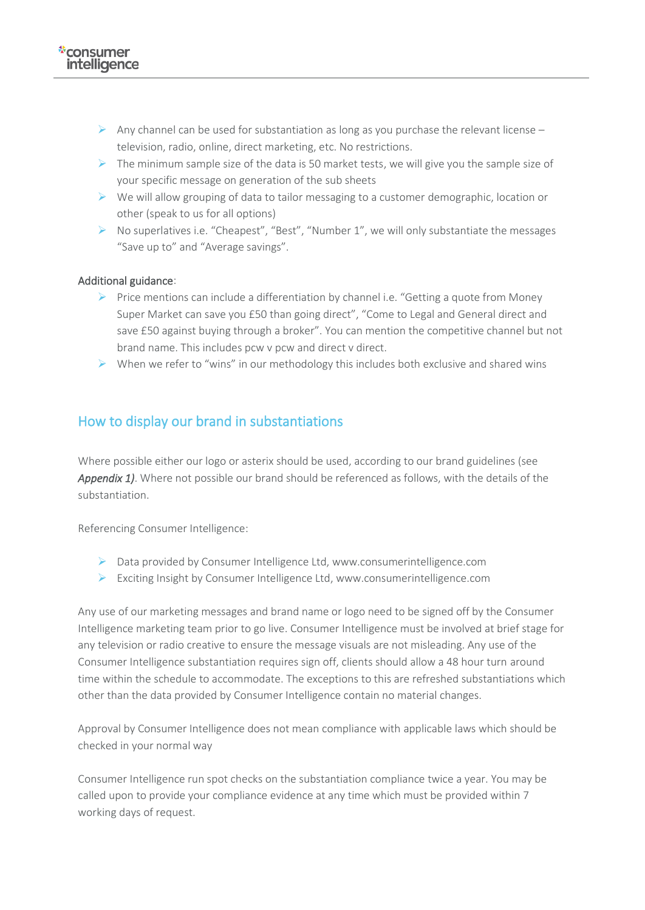- $\triangleright$  Any channel can be used for substantiation as long as you purchase the relevant license television, radio, online, direct marketing, etc. No restrictions.
- $\triangleright$  The minimum sample size of the data is 50 market tests, we will give you the sample size of your specific message on generation of the sub sheets
- $\triangleright$  We will allow grouping of data to tailor messaging to a customer demographic, location or other (speak to us for all options)
- ➢ No superlatives i.e. "Cheapest", "Best", "Number 1", we will only substantiate the messages "Save up to" and "Average savings".

#### Additional guidance:

- $\triangleright$  Price mentions can include a differentiation by channel i.e. "Getting a quote from Money Super Market can save you £50 than going direct", "Come to Legal and General direct and save £50 against buying through a broker". You can mention the competitive channel but not brand name. This includes pcw v pcw and direct v direct.
- $\triangleright$  When we refer to "wins" in our methodology this includes both exclusive and shared wins

### How to display our brand in substantiations

Where possible either our logo or asterix should be used, according to our brand guidelines (see *Appendix 1)*. Where not possible our brand should be referenced as follows, with the details of the substantiation.

Referencing Consumer Intelligence:

- ➢ Data provided by Consumer Intelligence Ltd, www.consumerintelligence.com
- ➢ Exciting Insight by Consumer Intelligence Ltd, www.consumerintelligence.com

Any use of our marketing messages and brand name or logo need to be signed off by the Consumer Intelligence marketing team prior to go live. Consumer Intelligence must be involved at brief stage for any television or radio creative to ensure the message visuals are not misleading. Any use of the Consumer Intelligence substantiation requires sign off, clients should allow a 48 hour turn around time within the schedule to accommodate. The exceptions to this are refreshed substantiations which other than the data provided by Consumer Intelligence contain no material changes.

Approval by Consumer Intelligence does not mean compliance with applicable laws which should be checked in your normal way

Consumer Intelligence run spot checks on the substantiation compliance twice a year. You may be called upon to provide your compliance evidence at any time which must be provided within 7 working days of request.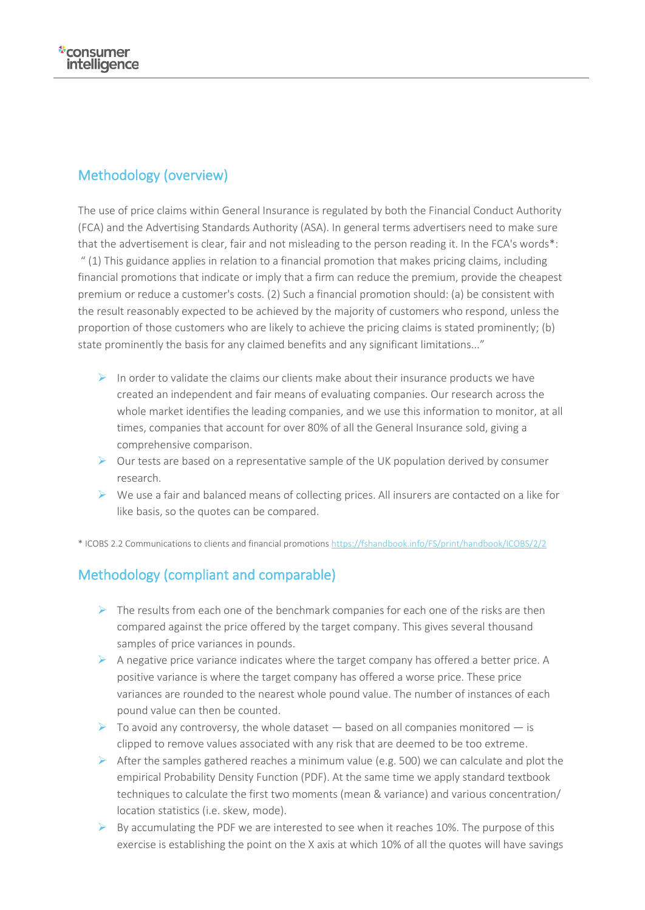# Methodology (overview)

The use of price claims within General Insurance is regulated by both the Financial Conduct Authority (FCA) and the Advertising Standards Authority (ASA). In general terms advertisers need to make sure that the advertisement is clear, fair and not misleading to the person reading it. In the FCA's words\*: " (1) This guidance applies in relation to a financial promotion that makes pricing claims, including financial promotions that indicate or imply that a firm can reduce the premium, provide the cheapest premium or reduce a customer's costs. (2) Such a financial promotion should: (a) be consistent with the result reasonably expected to be achieved by the majority of customers who respond, unless the proportion of those customers who are likely to achieve the pricing claims is stated prominently; (b) state prominently the basis for any claimed benefits and any significant limitations..."

- $\triangleright$  In order to validate the claims our clients make about their insurance products we have created an independent and fair means of evaluating companies. Our research across the whole market identifies the leading companies, and we use this information to monitor, at all times, companies that account for over 80% of all the General Insurance sold, giving a comprehensive comparison.
- $\triangleright$  Our tests are based on a representative sample of the UK population derived by consumer research.
- $\triangleright$  We use a fair and balanced means of collecting prices. All insurers are contacted on a like for like basis, so the quotes can be compared.

\* ICOBS 2.2 Communications to clients and financial promotions <https://fshandbook.info/FS/print/handbook/ICOBS/2/2>

## Methodology (compliant and comparable)

- $\triangleright$  The results from each one of the benchmark companies for each one of the risks are then compared against the price offered by the target company. This gives several thousand samples of price variances in pounds.
- $\triangleright$  A negative price variance indicates where the target company has offered a better price. A positive variance is where the target company has offered a worse price. These price variances are rounded to the nearest whole pound value. The number of instances of each pound value can then be counted.
- $\triangleright$  To avoid any controversy, the whole dataset based on all companies monitored is clipped to remove values associated with any risk that are deemed to be too extreme.
- $\triangleright$  After the samples gathered reaches a minimum value (e.g. 500) we can calculate and plot the empirical Probability Density Function (PDF). At the same time we apply standard textbook techniques to calculate the first two moments (mean & variance) and various concentration/ location statistics (i.e. skew, mode).
- $\triangleright$  By accumulating the PDF we are interested to see when it reaches 10%. The purpose of this exercise is establishing the point on the X axis at which 10% of all the quotes will have savings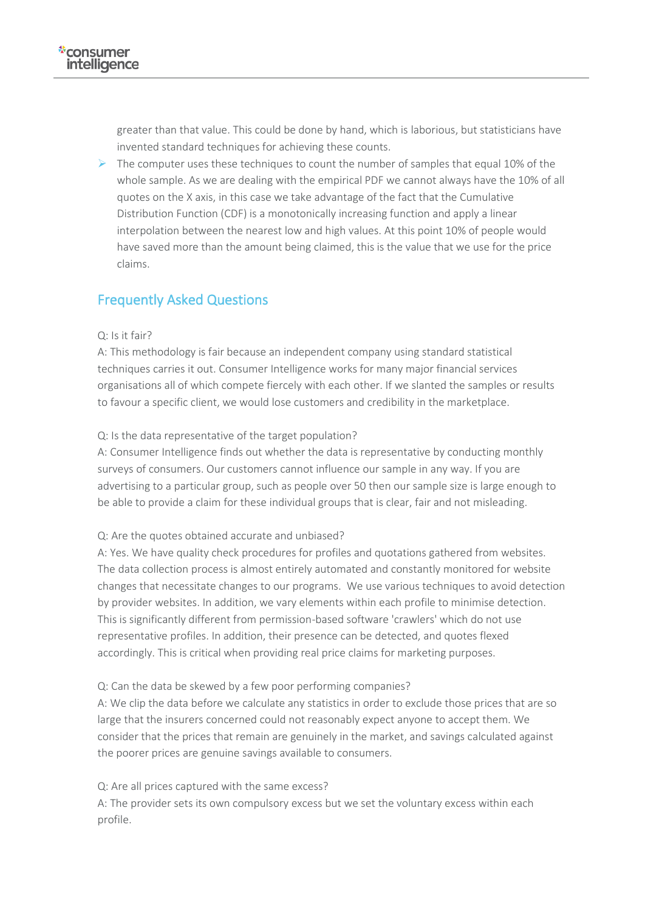greater than that value. This could be done by hand, which is laborious, but statisticians have invented standard techniques for achieving these counts.

 $\triangleright$  The computer uses these techniques to count the number of samples that equal 10% of the whole sample. As we are dealing with the empirical PDF we cannot always have the 10% of all quotes on the X axis, in this case we take advantage of the fact that the Cumulative Distribution Function (CDF) is a monotonically increasing function and apply a linear interpolation between the nearest low and high values. At this point 10% of people would have saved more than the amount being claimed, this is the value that we use for the price claims.

### Frequently Asked Questions

#### $Q·$  Is it fair?

A: This methodology is fair because an independent company using standard statistical techniques carries it out. Consumer Intelligence works for many major financial services organisations all of which compete fiercely with each other. If we slanted the samples or results to favour a specific client, we would lose customers and credibility in the marketplace.

#### Q: Is the data representative of the target population?

A: Consumer Intelligence finds out whether the data is representative by conducting monthly surveys of consumers. Our customers cannot influence our sample in any way. If you are advertising to a particular group, such as people over 50 then our sample size is large enough to be able to provide a claim for these individual groups that is clear, fair and not misleading.

#### Q: Are the quotes obtained accurate and unbiased?

A: Yes. We have quality check procedures for profiles and quotations gathered from websites. The data collection process is almost entirely automated and constantly monitored for website changes that necessitate changes to our programs. We use various techniques to avoid detection by provider websites. In addition, we vary elements within each profile to minimise detection. This is significantly different from permission-based software 'crawlers' which do not use representative profiles. In addition, their presence can be detected, and quotes flexed accordingly. This is critical when providing real price claims for marketing purposes.

#### Q: Can the data be skewed by a few poor performing companies?

A: We clip the data before we calculate any statistics in order to exclude those prices that are so large that the insurers concerned could not reasonably expect anyone to accept them. We consider that the prices that remain are genuinely in the market, and savings calculated against the poorer prices are genuine savings available to consumers.

#### Q: Are all prices captured with the same excess?

A: The provider sets its own compulsory excess but we set the voluntary excess within each profile.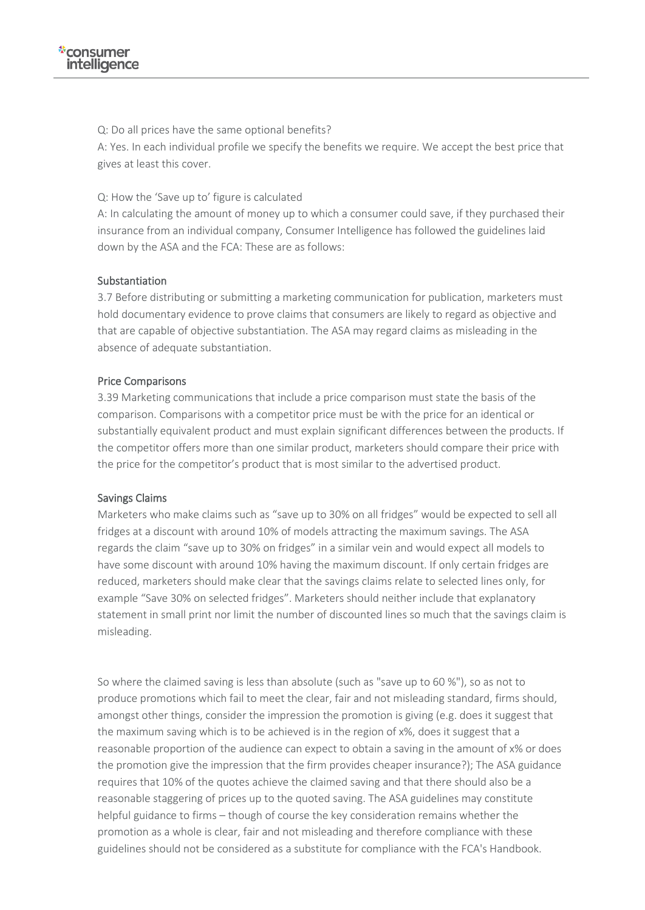Q: Do all prices have the same optional benefits?

A: Yes. In each individual profile we specify the benefits we require. We accept the best price that gives at least this cover.

Q: How the 'Save up to' figure is calculated

A: In calculating the amount of money up to which a consumer could save, if they purchased their insurance from an individual company, Consumer Intelligence has followed the guidelines laid down by the ASA and the FCA: These are as follows:

#### Substantiation

3.7 Before distributing or submitting a marketing communication for publication, marketers must hold documentary evidence to prove claims that consumers are likely to regard as objective and that are capable of objective substantiation. The ASA may regard claims as misleading in the absence of adequate substantiation.

#### Price Comparisons

3.39 Marketing communications that include a price comparison must state the basis of the comparison. Comparisons with a competitor price must be with the price for an identical or substantially equivalent product and must explain significant differences between the products. If the competitor offers more than one similar product, marketers should compare their price with the price for the competitor's product that is most similar to the advertised product.

#### Savings Claims

Marketers who make claims such as "save up to 30% on all fridges" would be expected to sell all fridges at a discount with around 10% of models attracting the maximum savings. The ASA regards the claim "save up to 30% on fridges" in a similar vein and would expect all models to have some discount with around 10% having the maximum discount. If only certain fridges are reduced, marketers should make clear that the savings claims relate to selected lines only, for example "Save 30% on selected fridges". Marketers should neither include that explanatory statement in small print nor limit the number of discounted lines so much that the savings claim is misleading.

So where the claimed saving is less than absolute (such as "save up to 60 %"), so as not to produce promotions which fail to meet the clear, fair and not misleading standard, firms should, amongst other things, consider the impression the promotion is giving (e.g. does it suggest that the maximum saving which is to be achieved is in the region of x%, does it suggest that a reasonable proportion of the audience can expect to obtain a saving in the amount of x% or does the promotion give the impression that the firm provides cheaper insurance?); The ASA guidance requires that 10% of the quotes achieve the claimed saving and that there should also be a reasonable staggering of prices up to the quoted saving. The ASA guidelines may constitute helpful guidance to firms – though of course the key consideration remains whether the promotion as a whole is clear, fair and not misleading and therefore compliance with these guidelines should not be considered as a substitute for compliance with the FCA's Handbook.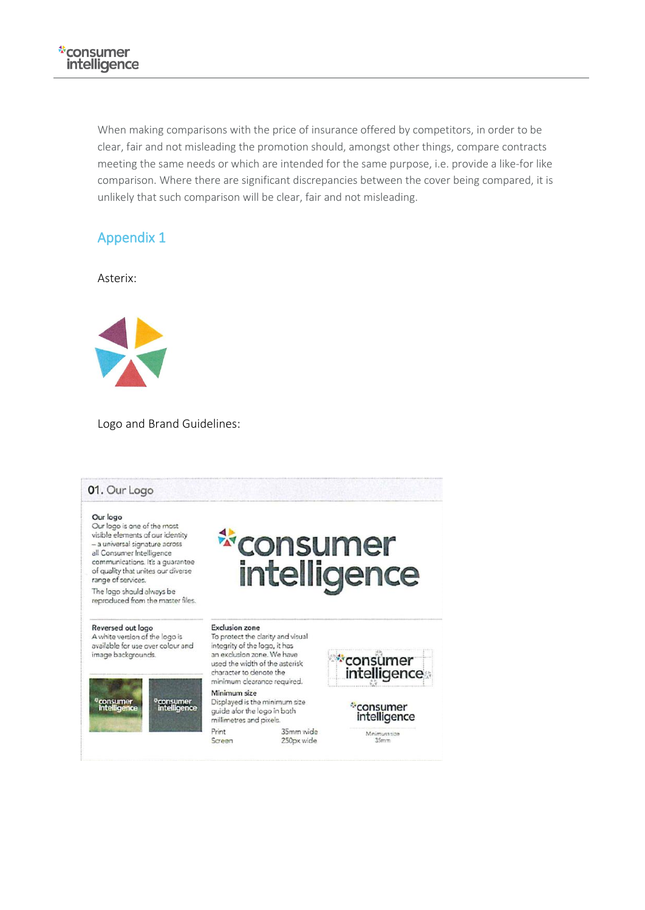When making comparisons with the price of insurance offered by competitors, in order to be clear, fair and not misleading the promotion should, amongst other things, compare contracts meeting the same needs or which are intended for the same purpose, i.e. provide a like-for like comparison. Where there are significant discrepancies between the cover being compared, it is unlikely that such comparison will be clear, fair and not misleading.

## Appendix 1

Asterix:



Logo and Brand Guidelines: